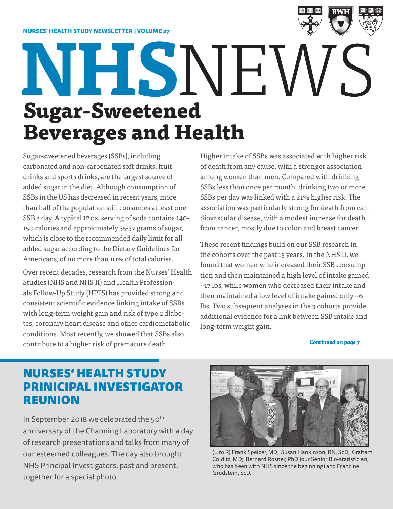

# **Sugar-Sweetened Beverages and Health NHS**NEWS

Sugar-sweetened beverages (SSBs), including carbonated and non-carbonated soft drinks, fruit drinks and sports drinks, are the largest source of added sugar in the diet. Although consumption of SSBs in the US has decreased in recent years, more than half of the population still consumes at least one SSB a day. A typical 12 oz. serving of soda contains 140- 150 calories and approximately 35-37 grams of sugar, which is close to the recommended daily limit for all added sugar according to the Dietary Guidelines for Americans, of no more than 10% of total calories.

Over recent decades, research from the Nurses' Health Studies (NHS and NHS II) and Health Professionals Follow-Up Study (HPFS) has provided strong and consistent scientific evidence linking intake of SSBs with long-term weight gain and risk of type 2 diabetes, coronary heart disease and other cardiometabolic conditions. Most recently, we showed that SSBs also contribute to a higher risk of premature death.

Higher intake of SSBs was associated with higher risk of death from any cause, with a stronger association among women than men. Compared with drinking SSBs less than once per month, drinking two or more SSBs per day was linked with a 21% higher risk. The association was particularly strong for death from cardiovascular disease, with a modest increase for death from cancer, mostly due to colon and breast cancer.

These recent findings build on our SSB research in the cohorts over the past 15 years. In the NHS II, we found that women who increased their SSB consumption and then maintained a high level of intake gained ~17 lbs, while women who decreased their intake and then maintained a low level of intake gained only ~6 lbs. Two subsequent analyses in the 3 cohorts provide additional evidence for a link between SSB intake and long-term weight gain.

*Continued on page 7*

### NURSES' HEALTH STUDY PRINICIPAL INVESTIGATOR REUNION

In September 2018 we celebrated the 50<sup>th</sup> anniversary of the Channing Laboratory with a day of research presentations and talks from many of our esteemed colleagues. The day also brought NHS Principal Investigators, past and present, together for a special photo.



(L to R) Frank Speizer, MD; Susan Hankinson, RN, ScD; Graham Colditz, MD; Bernard Rosner, PhD (our Senior Bio-statistician, who has been with NHS since the beginning) and Francine Grodstein, ScD.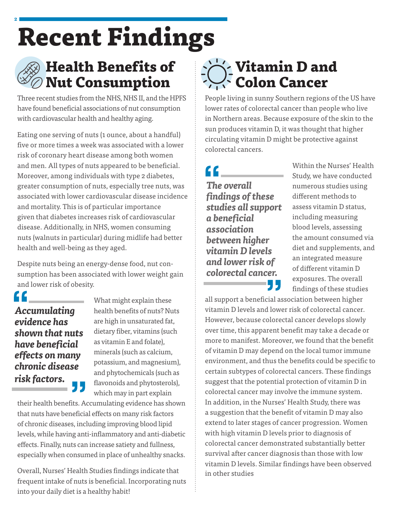## **Recent Findings**



**2**

## **Health Benefits of Nut Consumption**

Three recent studies from the NHS, NHS II, and the HPFS have found beneficial associations of nut consumption with cardiovascular health and healthy aging.

Eating one serving of nuts (1 ounce, about a handful) five or more times a week was associated with a lower risk of coronary heart disease among both women and men. All types of nuts appeared to be beneficial. Moreover, among individuals with type 2 diabetes, greater consumption of nuts, especially tree nuts, was associated with lower cardiovascular disease incidence and mortality. This is of particular importance given that diabetes increases risk of cardiovascular disease. Additionally, in NHS, women consuming nuts (walnuts in particular) during midlife had better health and well-being as they aged.

Despite nuts being an energy-dense food, nut consumption has been associated with lower weight gain and lower risk of obesity.

*Accumulating evidence has shown that nuts have beneficial effects on many chronic disease risk factors.*

What might explain these health benefits of nuts? Nuts are high in unsaturated fat, dietary fiber, vitamins (such as vitamin E and folate), minerals (such as calcium, potassium, and magnesium), and phytochemicals (such as flavonoids and phytosterols), which may in part explain

their health benefits. Accumulating evidence has shown that nuts have beneficial effects on many risk factors of chronic diseases, including improving blood lipid levels, while having anti-inflammatory and anti-diabetic effects. Finally, nuts can increase satiety and fullness, especially when consumed in place of unhealthy snacks.

Overall, Nurses' Health Studies findings indicate that frequent intake of nuts is beneficial. Incorporating nuts into your daily diet is a healthy habit!

## **Vitamin D and Colon Cancer**

People living in sunny Southern regions of the US have lower rates of colorectal cancer than people who live in Northern areas. Because exposure of the skin to the sun produces vitamin D, it was thought that higher circulating vitamin D might be protective against colorectal cancers.

## 

*The overall findings of these studies all support a beneficial association between higher vitamin D levels and lower risk of colorectal cancer.*

Within the Nurses' Health Study, we have conducted numerous studies using different methods to assess vitamin D status, including measuring blood levels, assessing the amount consumed via diet and supplements, and an integrated measure of different vitamin D exposures. The overall findings of these studies

all support a beneficial association between higher vitamin D levels and lower risk of colorectal cancer. However, because colorectal cancer develops slowly over time, this apparent benefit may take a decade or more to manifest. Moreover, we found that the benefit of vitamin D may depend on the local tumor immune environment, and thus the benefits could be specific to certain subtypes of colorectal cancers. These findings suggest that the potential protection of vitamin D in colorectal cancer may involve the immune system. In addition, in the Nurses' Health Study, there was a suggestion that the benefit of vitamin D may also extend to later stages of cancer progression. Women with high vitamin D levels prior to diagnosis of colorectal cancer demonstrated substantially better survival after cancer diagnosis than those with low vitamin D levels. Similar findings have been observed in other studies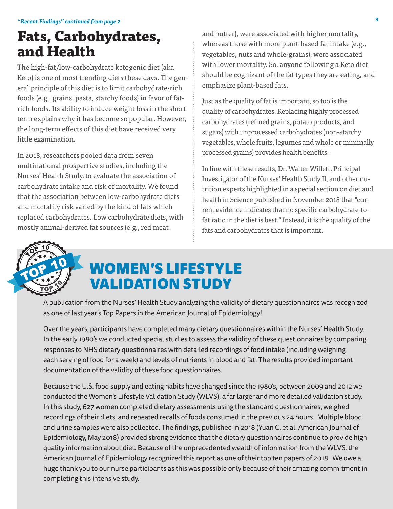## **Fats, Carbohydrates, and Health**

The high-fat/low-carbohydrate ketogenic diet (aka Keto) is one of most trending diets these days. The general principle of this diet is to limit carbohydrate-rich foods (e.g., grains, pasta, starchy foods) in favor of fatrich foods. Its ability to induce weight loss in the short term explains why it has become so popular. However, the long-term effects of this diet have received very little examination.

In 2018, researchers pooled data from seven multinational prospective studies, including the Nurses' Health Study, to evaluate the association of carbohydrate intake and risk of mortality. We found that the association between low-carbohydrate diets and mortality risk varied by the kind of fats which replaced carbohydrates. Low carbohydrate diets, with mostly animal-derived fat sources (e.g., red meat

and butter), were associated with higher mortality, whereas those with more plant-based fat intake (e.g., vegetables, nuts and whole-grains), were associated with lower mortality. So, anyone following a Keto diet should be cognizant of the fat types they are eating, and emphasize plant-based fats.

Just as the quality of fat is important, so too is the quality of carbohydrates. Replacing highly processed carbohydrates (refined grains, potato products, and sugars) with unprocessed carbohydrates (non-starchy vegetables, whole fruits, legumes and whole or minimally processed grains) provides health benefits.

In line with these results, Dr. Walter Willett, Principal Investigator of the Nurses' Health Study II, and other nutrition experts highlighted in a special section on diet and health in Science published in November 2018 that "current evidence indicates that no specific carbohydrate-tofat ratio in the diet is best." Instead, it is the quality of the fats and carbohydrates that is important.



## WOMEN'S LIFESTYLE VALIDATION STUDY

A publication from the Nurses' Health Study analyzing the validity of dietary questionnaires was recognized as one of last year's Top Papers in the American Journal of Epidemiology!

Over the years, participants have completed many dietary questionnaires within the Nurses' Health Study. In the early 1980's we conducted special studies to assess the validity of these questionnaires by comparing responses to NHS dietary questionnaires with detailed recordings of food intake (including weighing each serving of food for a week) and levels of nutrients in blood and fat. The results provided important documentation of the validity of these food questionnaires.

Because the U.S. food supply and eating habits have changed since the 1980's, between 2009 and 2012 we conducted the Women's Lifestyle Validation Study (WLVS), a far larger and more detailed validation study. In this study, 627 women completed dietary assessments using the standard questionnaires, weighed recordings of their diets, and repeated recalls of foods consumed in the previous 24 hours. Multiple blood and urine samples were also collected. The findings, published in 2018 (Yuan C. et al. American Journal of Epidemiology, May 2018) provided strong evidence that the dietary questionnaires continue to provide high quality information about diet. Because of the unprecedented wealth of information from the WLVS, the American Journal of Epidemiology recognized this report as one of their top ten papers of 2018. We owe a huge thank you to our nurse participants as this was possible only because of their amazing commitment in completing this intensive study.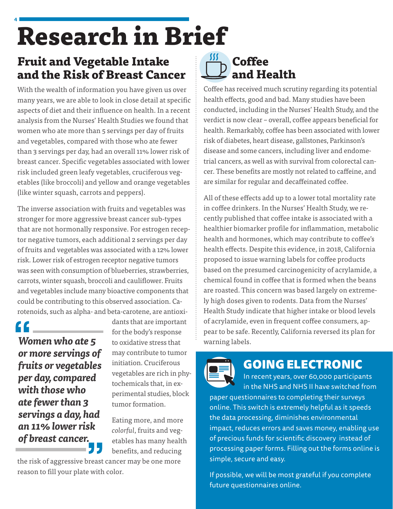## **4 Research in Brief**

## **Fruit and Vegetable Intake and the Risk of Breast Cancer**

With the wealth of information you have given us over many years, we are able to look in close detail at specific aspects of diet and their influence on health. In a recent analysis from the Nurses' Health Studies we found that women who ate more than 5 servings per day of fruits and vegetables, compared with those who ate fewer than 3 servings per day, had an overall 11% lower risk of breast cancer. Specific vegetables associated with lower risk included green leafy vegetables, cruciferous vegetables (like broccoli) and yellow and orange vegetables (like winter squash, carrots and peppers).

The inverse association with fruits and vegetables was stronger for more aggressive breast cancer sub-types that are not hormonally responsive. For estrogen receptor negative tumors, each additional 2 servings per day of fruits and vegetables was associated with a 12% lower risk. Lower risk of estrogen receptor negative tumors was seen with consumption of blueberries, strawberries, carrots, winter squash, broccoli and cauliflower. Fruits and vegetables include many bioactive components that could be contributing to this observed association. Carotenoids, such as alpha- and beta-carotene, are antioxi-

*Women who ate 5 or more servings of fruits or vegetables per day, compared with those who ate fewer than 3 servings a day, had an 11% lower risk of breast cancer.*

dants that are important for the body's response to oxidative stress that may contribute to tumor initiation. Cruciferous vegetables are rich in phytochemicals that, in experimental studies, block tumor formation.

Eating more, and more *colorful*, fruits and vegetables has many health benefits, and reducing

the risk of aggressive breast cancer may be one more reason to fill your plate with color.

## **Coffee and Health**

Coffee has received much scrutiny regarding its potential health effects, good and bad. Many studies have been conducted, including in the Nurses' Health Study, and the verdict is now clear – overall, coffee appears beneficial for health. Remarkably, coffee has been associated with lower risk of diabetes, heart disease, gallstones, Parkinson's disease and some cancers, including liver and endometrial cancers, as well as with survival from colorectal cancer. These benefits are mostly not related to caffeine, and are similar for regular and decaffeinated coffee.

All of these effects add up to a lower total mortality rate in coffee drinkers. In the Nurses' Health Study, we recently published that coffee intake is associated with a healthier biomarker profile for inflammation, metabolic health and hormones, which may contribute to coffee's health effects. Despite this evidence, in 2018, California proposed to issue warning labels for coffee products based on the presumed carcinogenicity of acrylamide, a chemical found in coffee that is formed when the beans are roasted. This concern was based largely on extremely high doses given to rodents. Data from the Nurses' Health Study indicate that higher intake or blood levels of acrylamide, even in frequent coffee consumers, appear to be safe. Recently, California reversed its plan for warning labels.



## GOING ELECTRONIC

In recent years, over 60,000 participants in the NHS and NHS II have switched from paper questionnaires to completing their surveys online. This switch is extremely helpful as it speeds the data processing, diminishes environmental impact, reduces errors and saves money, enabling use of precious funds for scientific discovery instead of processing paper forms. Filling out the forms online is simple, secure and easy.

If possible, we will be most grateful if you complete future questionnaires online.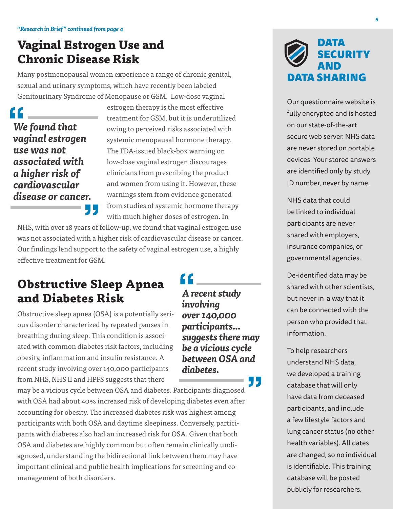### **Vaginal Estrogen Use and Chronic Disease Risk**

Many postmenopausal women experience a range of chronic genital, sexual and urinary symptoms, which have recently been labeled Genitourinary Syndrome of Menopause or GSM. Low-dose vaginal

*We found that vaginal estrogen use was not associated with a higher risk of cardiovascular disease or cancer.* estrogen therapy is the most effective treatment for GSM, but it is underutilized owing to perceived risks associated with systemic menopausal hormone therapy. The FDA-issued black-box warning on low-dose vaginal estrogen discourages clinicians from prescribing the product and women from using it. However, these warnings stem from evidence generated from studies of systemic hormone therapy with much higher doses of estrogen. In

*A recent study* 

*over 140,000 participants...* 

*suggests there may be a vicious cycle between OSA and* 

*involving* 

*diabetes.*

NHS, with over 18 years of follow-up, we found that vaginal estrogen use was not associated with a higher risk of cardiovascular disease or cancer. Our findings lend support to the safety of vaginal estrogen use, a highly effective treatment for GSM.

## **Obstructive Sleep Apnea and Diabetes Risk**

Obstructive sleep apnea (OSA) is a potentially serious disorder characterized by repeated pauses in breathing during sleep. This condition is associated with common diabetes risk factors, including obesity, inflammation and insulin resistance. A recent study involving over 140,000 participants from NHS, NHS II and HPFS suggests that there

may be a vicious cycle between OSA and diabetes. Participants diagnosed with OSA had about 40% increased risk of developing diabetes even after accounting for obesity. The increased diabetes risk was highest among participants with both OSA and daytime sleepiness. Conversely, participants with diabetes also had an increased risk for OSA. Given that both OSA and diabetes are highly common but often remain clinically undiagnosed, understanding the bidirectional link between them may have important clinical and public health implications for screening and comanagement of both disorders.

DATA SECURITY AND ATA SHARING

Our questionnaire website is fully encrypted and is hosted on our state-of-the-art secure web server. NHS data are never stored on portable devices. Your stored answers are identified only by study ID number, never by name.

NHS data that could be linked to individual participants are never shared with employers, insurance companies, or governmental agencies.

De-identified data may be shared with other scientists, but never in a way that it can be connected with the person who provided that information.

To help researchers understand NHS data, we developed a training database that will only have data from deceased participants, and include a few lifestyle factors and lung cancer status (no other health variables). All dates are changed, so no individual is identifiable. This training database will be posted publicly for researchers.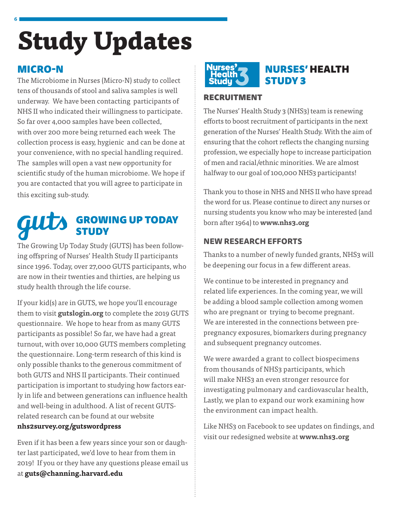## **Study Updates**

#### MICRO-N

**6**

The Microbiome in Nurses (Micro-N) study to collect tens of thousands of stool and saliva samples is well underway. We have been contacting participants of NHS II who indicated their willingness to participate. So far over 4,000 samples have been collected, with over 200 more being returned each week The collection process is easy, hygienic and can be done at your convenience, with no special handling required. The samples will open a vast new opportunity for scientific study of the human microbiome. We hope if you are contacted that you will agree to participate in this exciting sub-study.

#### guts GROWING UP TODAY STUDY

The Growing Up Today Study (GUTS) has been following offspring of Nurses' Health Study II participants since 1996. Today, over 27,000 GUTS participants, who are now in their twenties and thirties, are helping us study health through the life course.

If your kid(s) are in GUTS, we hope you'll encourage them to visit **gutslogin.org** to complete the 2019 GUTS questionnaire. We hope to hear from as many GUTS participants as possible! So far, we have had a great turnout, with over 10,000 GUTS members completing the questionnaire. Long-term research of this kind is only possible thanks to the generous commitment of both GUTS and NHS II participants. Their continued participation is important to studying how factors early in life and between generations can influence health and well-being in adulthood. A list of recent GUTSrelated research can be found at our website **nhs2survey.org/gutswordpress** 

Even if it has been a few years since your son or daughter last participated, we'd love to hear from them in 2019! If you or they have any questions please email us at **guts@channing.harvard.edu**



#### NURSES' HEALTH STUDY 3

#### RECRUITMENT

The Nurses' Health Study 3 (NHS3) team is renewing efforts to boost recruitment of participants in the next generation of the Nurses' Health Study. With the aim of ensuring that the cohort reflects the changing nursing profession, we especially hope to increase participation of men and racial/ethnic minorities. We are almost halfway to our goal of 100,000 NHS3 participants!

Thank you to those in NHS and NHS II who have spread the word for us. Please continue to direct any nurses or nursing students you know who may be interested (and born after 1964) to **www.nhs3.org** 

#### **NEW RESEARCH EFFORTS**

Thanks to a number of newly funded grants, NHS3 will be deepening our focus in a few different areas.

We continue to be interested in pregnancy and related life experiences. In the coming year, we will be adding a blood sample collection among women who are pregnant or trying to become pregnant. We are interested in the connections between prepregnancy exposures, biomarkers during pregnancy and subsequent pregnancy outcomes.

We were awarded a grant to collect biospecimens from thousands of NHS3 participants, which will make NHS3 an even stronger resource for investigating pulmonary and cardiovascular health, Lastly, we plan to expand our work examining how the environment can impact health.

Like NHS3 on Facebook to see updates on findings, and visit our redesigned website at **www.nhs3.org**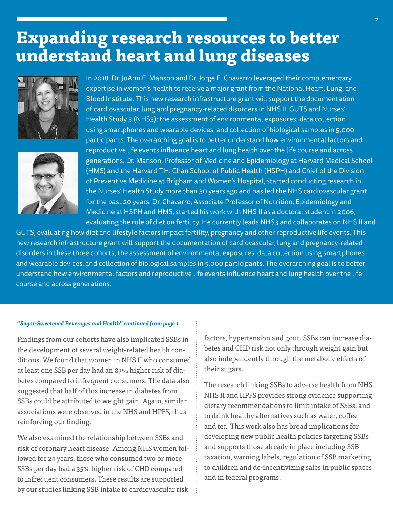## **Expanding research resources to better understand heart and lung diseases**





In 2018, Dr. JoAnn E. Manson and Dr. Jorge E. Chavarro leveraged their complementary expertise in women's health to receive a major grant from the National Heart, Lung, and Blood Institute. This new research infrastructure grant will support the documentation of cardiovascular, lung and pregnancy-related disorders in NHS II, GUTS and Nurses' Health Study 3 (NHS3); the assessment of environmental exposures; data collection using smartphones and wearable devices; and collection of biological samples in 5,000 participants. The overarching goal is to better understand how environmental factors and reproductive life events influence heart and lung health over the life course and across generations. Dr. Manson, Professor of Medicine and Epidemiology at Harvard Medical School (HMS) and the Harvard T.H. Chan School of Public Health (HSPH) and Chief of the Division of Preventive Medicine at Brigham and Women's Hospital, started conducting research in the Nurses' Health Study more than 30 years ago and has led the NHS cardiovascular grant for the past 20 years. Dr. Chavarro, Associate Professor of Nutrition, Epidemiology and Medicine at HSPH and HMS, started his work with NHS II as a doctoral student in 2006, evaluating the role of diet on fertility. He currently leads NHS3 and collaborates on NHS II and

GUTS, evaluating how diet and lifestyle factors impact fertility, pregnancy and other reproductive life events. This new research infrastructure grant will support the documentation of cardiovascular, lung and pregnancy-related disorders in these three cohorts, the assessment of environmental exposures, data collection using smartphones and wearable devices, and collection of biological samples in 5,000 participants. The overarching goal is to better understand how environmental factors and reproductive life events influence heart and lung health over the life course and across generations.

#### *"Sugar-Sweetened Beverages and Health" continued from page 1*

Findings from our cohorts have also implicated SSBs in the development of several weight-related health conditions. We found that women in NHS II who consumed at least one SSB per day had an 83% higher risk of diabetes compared to infrequent consumers. The data also suggested that half of this increase in diabetes from SSBs could be attributed to weight gain. Again, similar associations were observed in the NHS and HPFS, thus reinforcing our finding.

We also examined the relationship between SSBs and risk of coronary heart disease. Among NHS women followed for 24 years, those who consumed two or more SSBs per day had a 35% higher risk of CHD compared to infrequent consumers. These results are supported by our studies linking SSB intake to cardiovascular risk factors, hypertension and gout. SSBs can increase diabetes and CHD risk not only through weight gain but also independently through the metabolic effects of their sugars.

The research linking SSBs to adverse health from NHS, NHS II and HPFS provides strong evidence supporting dietary recommendations to limit intake of SSBs, and to drink healthy alternatives such as water, coffee and tea. This work also has broad implications for developing new public health policies targeting SSBs and supports those already in place including SSB taxation, warning labels, regulation of SSB marketing to children and de-incentivizing sales in public spaces and in federal programs.